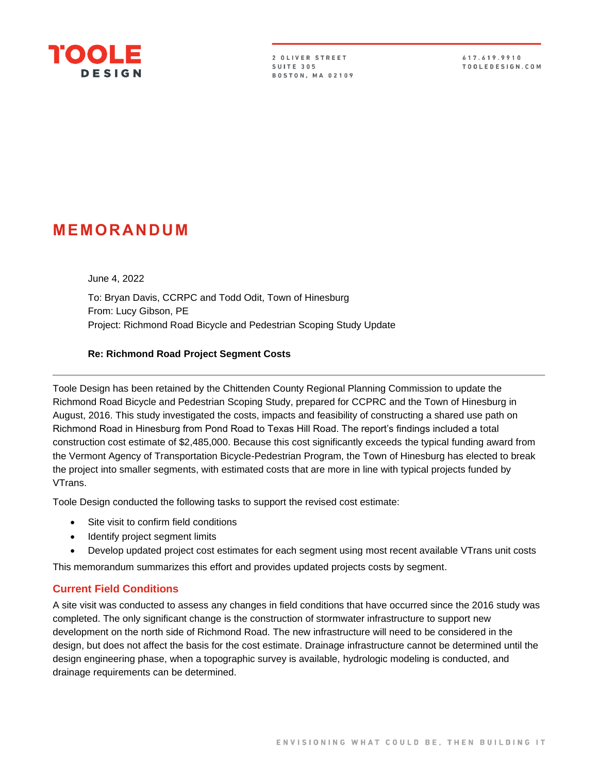

2 OLIVER STREET **SUITE 305 BOSTON, MA 02109** 

617.619.9910 TOOLEDESIGN.COM

# **MEMO R A N DUM**

June 4, 2022

To: Bryan Davis, CCRPC and Todd Odit, Town of Hinesburg From: Lucy Gibson, PE Project: Richmond Road Bicycle and Pedestrian Scoping Study Update

#### **Re: Richmond Road Project Segment Costs**

Toole Design has been retained by the Chittenden County Regional Planning Commission to update the Richmond Road Bicycle and Pedestrian Scoping Study, prepared for CCPRC and the Town of Hinesburg in August, 2016. This study investigated the costs, impacts and feasibility of constructing a shared use path on Richmond Road in Hinesburg from Pond Road to Texas Hill Road. The report's findings included a total construction cost estimate of \$2,485,000. Because this cost significantly exceeds the typical funding award from the Vermont Agency of Transportation Bicycle-Pedestrian Program, the Town of Hinesburg has elected to break the project into smaller segments, with estimated costs that are more in line with typical projects funded by VTrans.

Toole Design conducted the following tasks to support the revised cost estimate:

- Site visit to confirm field conditions
- **Identify project segment limits**
- Develop updated project cost estimates for each segment using most recent available VTrans unit costs

This memorandum summarizes this effort and provides updated projects costs by segment.

#### **Current Field Conditions**

A site visit was conducted to assess any changes in field conditions that have occurred since the 2016 study was completed. The only significant change is the construction of stormwater infrastructure to support new development on the north side of Richmond Road. The new infrastructure will need to be considered in the design, but does not affect the basis for the cost estimate. Drainage infrastructure cannot be determined until the design engineering phase, when a topographic survey is available, hydrologic modeling is conducted, and drainage requirements can be determined.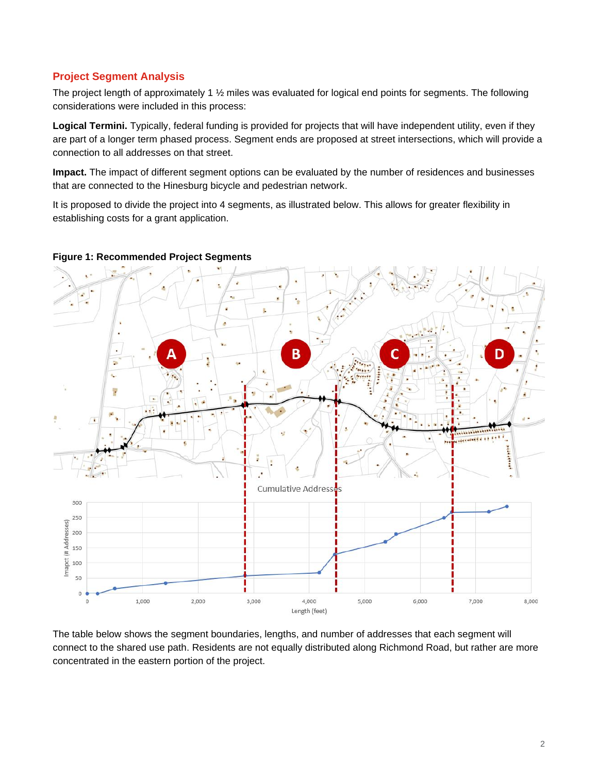### **Project Segment Analysis**

The project length of approximately 1 ½ miles was evaluated for logical end points for segments. The following considerations were included in this process:

**Logical Termini.** Typically, federal funding is provided for projects that will have independent utility, even if they are part of a longer term phased process. Segment ends are proposed at street intersections, which will provide a connection to all addresses on that street.

**Impact.** The impact of different segment options can be evaluated by the number of residences and businesses that are connected to the Hinesburg bicycle and pedestrian network.

It is proposed to divide the project into 4 segments, as illustrated below. This allows for greater flexibility in establishing costs for a grant application.



#### **Figure 1: Recommended Project Segments**

The table below shows the segment boundaries, lengths, and number of addresses that each segment will connect to the shared use path. Residents are not equally distributed along Richmond Road, but rather are more concentrated in the eastern portion of the project.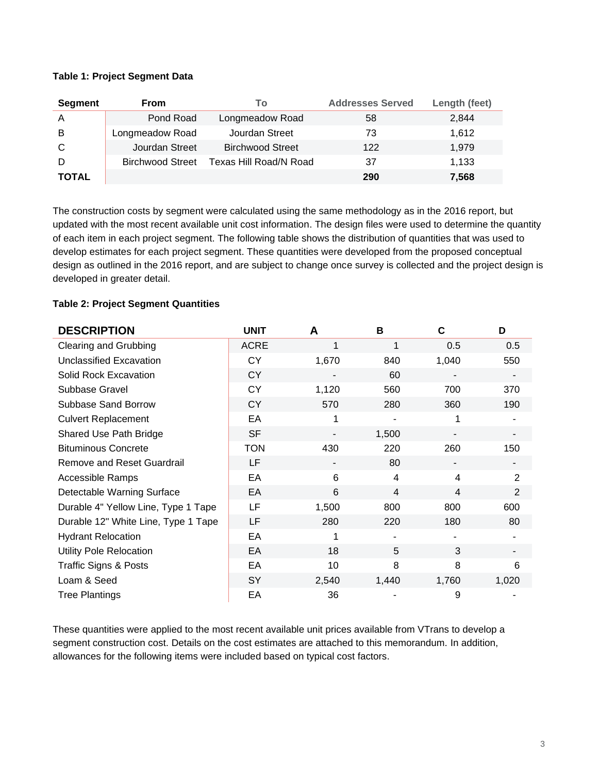#### **Table 1: Project Segment Data**

| Segment      | <b>From</b>             | To                      | <b>Addresses Served</b> | Length (feet) |
|--------------|-------------------------|-------------------------|-------------------------|---------------|
| A            | Pond Road               | Longmeadow Road         | 58                      | 2,844         |
| B            | Longmeadow Road         | Jourdan Street          | 73                      | 1,612         |
| C            | Jourdan Street          | <b>Birchwood Street</b> | 122                     | 1,979         |
|              | <b>Birchwood Street</b> | Texas Hill Road/N Road  | 37                      | 1.133         |
| <b>TOTAL</b> |                         |                         | 290                     | 7,568         |

The construction costs by segment were calculated using the same methodology as in the 2016 report, but updated with the most recent available unit cost information. The design files were used to determine the quantity of each item in each project segment. The following table shows the distribution of quantities that was used to develop estimates for each project segment. These quantities were developed from the proposed conceptual design as outlined in the 2016 report, and are subject to change once survey is collected and the project design is developed in greater detail.

#### **Table 2: Project Segment Quantities**

| <b>DESCRIPTION</b>                  | <b>UNIT</b> | A     | в              | C     | D              |
|-------------------------------------|-------------|-------|----------------|-------|----------------|
| <b>Clearing and Grubbing</b>        | <b>ACRE</b> | 1     | 1              | 0.5   | 0.5            |
| Unclassified Excavation             | <b>CY</b>   | 1,670 | 840            | 1,040 | 550            |
| Solid Rock Excavation               | <b>CY</b>   |       | 60             |       |                |
| Subbase Gravel                      | <b>CY</b>   | 1,120 | 560            | 700   | 370            |
| <b>Subbase Sand Borrow</b>          | <b>CY</b>   | 570   | 280            | 360   | 190            |
| <b>Culvert Replacement</b>          | EA          |       |                |       |                |
| Shared Use Path Bridge              | <b>SF</b>   |       | 1,500          |       |                |
| <b>Bituminous Concrete</b>          | <b>TON</b>  | 430   | 220            | 260   | 150            |
| <b>Remove and Reset Guardrail</b>   | LF          |       | 80             |       |                |
| <b>Accessible Ramps</b>             | EA          | 6     | 4              | 4     | $\overline{2}$ |
| Detectable Warning Surface          | EA          | 6     | $\overline{4}$ | 4     | $\overline{2}$ |
| Durable 4" Yellow Line, Type 1 Tape | LF          | 1,500 | 800            | 800   | 600            |
| Durable 12" White Line, Type 1 Tape | LF          | 280   | 220            | 180   | 80             |
| <b>Hydrant Relocation</b>           | EA          |       |                |       |                |
| <b>Utility Pole Relocation</b>      | EA          | 18    | 5              | 3     |                |
| <b>Traffic Signs &amp; Posts</b>    | EA          | 10    | 8              | 8     | 6              |
| Loam & Seed                         | <b>SY</b>   | 2,540 | 1,440          | 1,760 | 1,020          |
| <b>Tree Plantings</b>               | EA          | 36    |                | 9     |                |

These quantities were applied to the most recent available unit prices available from VTrans to develop a segment construction cost. Details on the cost estimates are attached to this memorandum. In addition, allowances for the following items were included based on typical cost factors.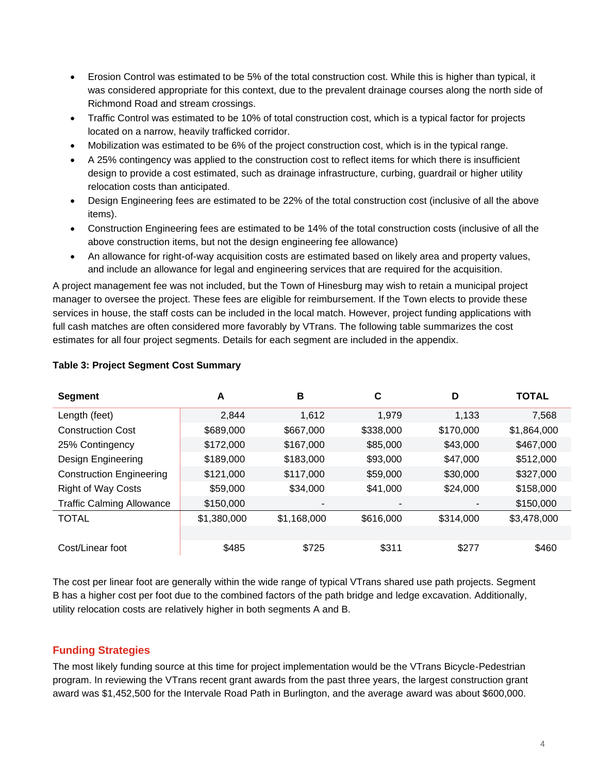- Erosion Control was estimated to be 5% of the total construction cost. While this is higher than typical, it was considered appropriate for this context, due to the prevalent drainage courses along the north side of Richmond Road and stream crossings.
- Traffic Control was estimated to be 10% of total construction cost, which is a typical factor for projects located on a narrow, heavily trafficked corridor.
- Mobilization was estimated to be 6% of the project construction cost, which is in the typical range.
- A 25% contingency was applied to the construction cost to reflect items for which there is insufficient design to provide a cost estimated, such as drainage infrastructure, curbing, guardrail or higher utility relocation costs than anticipated.
- Design Engineering fees are estimated to be 22% of the total construction cost (inclusive of all the above items).
- Construction Engineering fees are estimated to be 14% of the total construction costs (inclusive of all the above construction items, but not the design engineering fee allowance)
- An allowance for right-of-way acquisition costs are estimated based on likely area and property values, and include an allowance for legal and engineering services that are required for the acquisition.

A project management fee was not included, but the Town of Hinesburg may wish to retain a municipal project manager to oversee the project. These fees are eligible for reimbursement. If the Town elects to provide these services in house, the staff costs can be included in the local match. However, project funding applications with full cash matches are often considered more favorably by VTrans. The following table summarizes the cost estimates for all four project segments. Details for each segment are included in the appendix.

| <b>Segment</b>                   | A           | в           | C         | D         | <b>TOTAL</b> |
|----------------------------------|-------------|-------------|-----------|-----------|--------------|
| Length (feet)                    | 2,844       | 1.612       | 1.979     | 1.133     | 7,568        |
| <b>Construction Cost</b>         | \$689,000   | \$667,000   | \$338,000 | \$170,000 | \$1,864,000  |
| 25% Contingency                  | \$172,000   | \$167,000   | \$85,000  | \$43,000  | \$467,000    |
| Design Engineering               | \$189,000   | \$183,000   | \$93,000  | \$47,000  | \$512,000    |
| <b>Construction Engineering</b>  | \$121,000   | \$117,000   | \$59,000  | \$30,000  | \$327,000    |
| <b>Right of Way Costs</b>        | \$59,000    | \$34,000    | \$41,000  | \$24,000  | \$158,000    |
| <b>Traffic Calming Allowance</b> | \$150,000   |             |           |           | \$150,000    |
| <b>TOTAL</b>                     | \$1,380,000 | \$1,168,000 | \$616,000 | \$314,000 | \$3,478,000  |
|                                  |             |             |           |           |              |
| Cost/Linear foot                 | \$485       | \$725       | \$311     | \$277     | \$460        |

#### **Table 3: Project Segment Cost Summary**

The cost per linear foot are generally within the wide range of typical VTrans shared use path projects. Segment B has a higher cost per foot due to the combined factors of the path bridge and ledge excavation. Additionally, utility relocation costs are relatively higher in both segments A and B.

## **Funding Strategies**

The most likely funding source at this time for project implementation would be the VTrans Bicycle-Pedestrian program. In reviewing the VTrans recent grant awards from the past three years, the largest construction grant award was \$1,452,500 for the Intervale Road Path in Burlington, and the average award was about \$600,000.